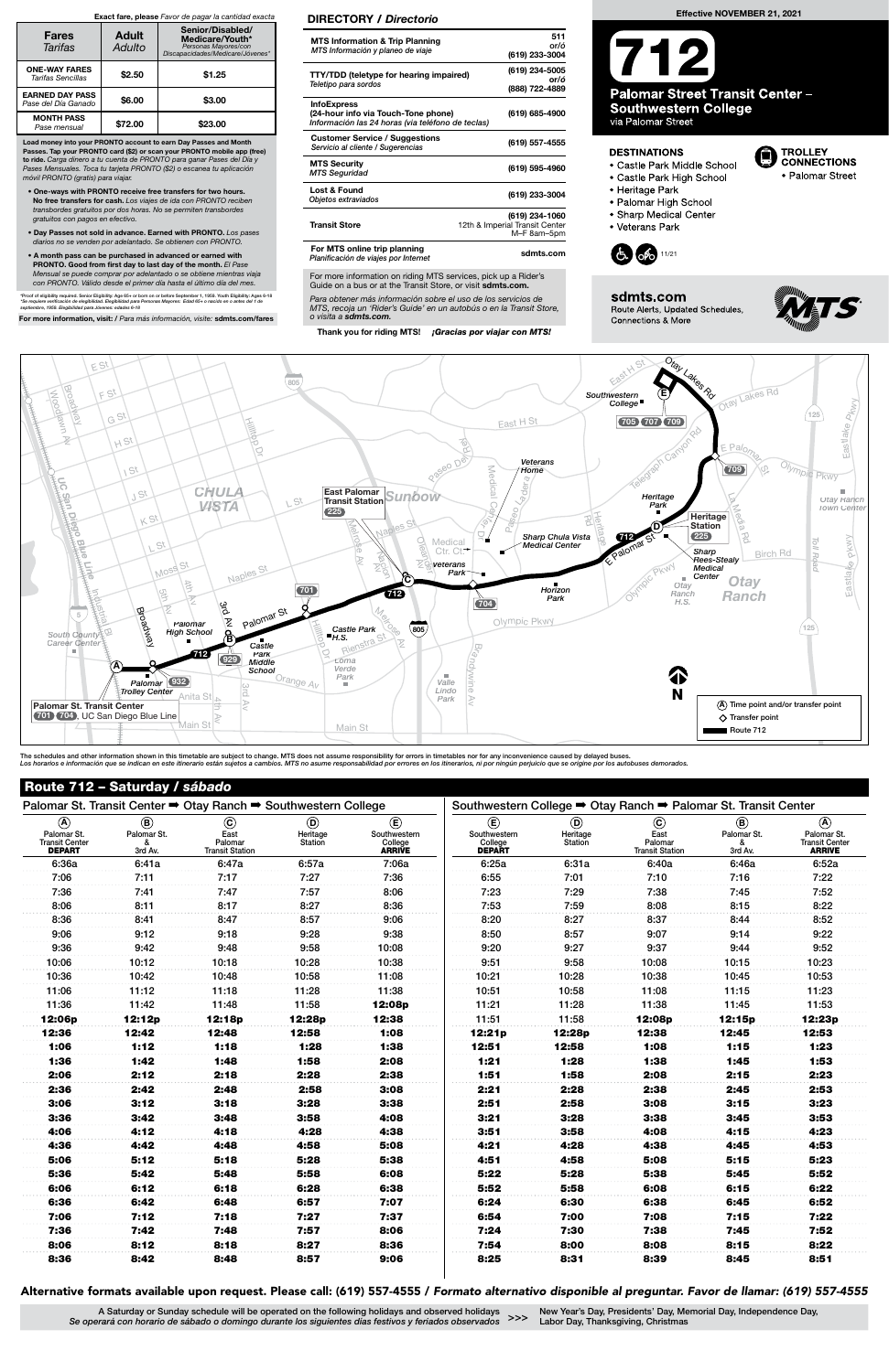The schedules and other information shown in this timetable are subject to change. MTS does not assume responsibility for errors in timetables nor for any inconvenience caused by delayed buses. Los horarios e información que se indican en este itinerario están sujetos a cambios. MTS no asume responsabilidad por errores en los itinerarios, ni por ningún perjuicio que se origine por los autobuses demorados

For more information on riding MTS services, pick up a Rider's Guide on a bus or at the Transit Store, or visit sdmts.com.

Para obtener más información sobre el uso de los servicios de MTS, recoja un 'Rider's Guide' en un autobús o en la Transit Store, o visita a sdmts.com.

Thank you for riding MTS! ¡Gracias por viajar con MTS!

## DIRECTORY / Directorio



New Year's Day, Presidents' Day, Memorial Day, Independence Day, >>> New Tear's Day, Presidents Day, Merry Labor Day, Thanksgiving, Christmas

| <b>MTS Information &amp; Trip Planning</b><br>MTS Información y planeo de viaje                                | 511<br>or/ó<br>(619) 233-3004                                   |
|----------------------------------------------------------------------------------------------------------------|-----------------------------------------------------------------|
| <b>TTY/TDD</b> (teletype for hearing impaired)<br>Teletipo para sordos                                         | (619) 234-5005<br>or/ó<br>(888) 722-4889                        |
| <b>InfoExpress</b><br>(24-hour info via Touch-Tone phone)<br>Información las 24 horas (via teléfono de teclas) | (619) 685-4900                                                  |
| <b>Customer Service / Suggestions</b><br>Servicio al cliente / Sugerencias                                     | (619) 557-4555                                                  |
| <b>MTS Security</b><br><b>MTS Seguridad</b>                                                                    | (619) 595-4960                                                  |
| Lost & Found<br>Objetos extraviados                                                                            | (619) 233-3004                                                  |
| <b>Transit Store</b>                                                                                           | (619) 234-1060<br>12th & Imperial Transit Center<br>M-F 8am-5pm |
| For MTS online trip planning<br>Planificación de viajes por Internet                                           | sdmts.com                                                       |

Load money into your PRONTO account to earn Day Passes and Month Passes. Tap your PRONTO card (\$2) or scan your PRONTO mobile app (free) to ride. Carga dinero a tu cuenta de PRONTO para ganar Pases del Día y Pases Mensuales. Toca tu tarjeta PRONTO (\$2) o escanea tu aplicación móvil PRONTO (gratis) para viajar.

- One-ways with PRONTO receive free transfers for two hours. No free transfers for cash. Los viajes de ida con PRONTO reciben transbordes gratuitos por dos horas. No se permiten transbordes gratuitos con pagos en efectivo.
- Day Passes not sold in advance. Earned with PRONTO. Los pases diarios no se venden por adelantado. Se obtienen con PRONTO.
- A month pass can be purchased in advanced or earned with PRONTO. Good from first day to last day of the month. El Pase Mensual se puede comprar por adelantado o se obtiene mientras viaja con PRONTO. Válido desde el primer día hasta el último día del mes.

\*Proof of eligibility required. Senior Eligibility: Age 65+ or born on or before September 1, 1959. Youth Eligibility: Ages 6-18<br>\*Se requiere verificación de elegibilidad. Elegibilidad para Personas Mayores: Edad 65+ o nac

For more information, visit: / Para más información, visite: sdmts.com/fares

## Exact fare, please Favor de pagar la cantidad exacta

| <b>Fares</b><br>Tarifas                       | <b>Adult</b><br>Adulto | Senior/Disabled/<br>Medicare/Youth*<br>Personas Mayores/con<br>Discapacidades/Medicare/Jóvenes* |  |  |  |
|-----------------------------------------------|------------------------|-------------------------------------------------------------------------------------------------|--|--|--|
| <b>ONE-WAY FARES</b><br>Tarifas Sencillas     | \$2.50                 | \$1.25                                                                                          |  |  |  |
| <b>EARNED DAY PASS</b><br>Pase del Día Ganado | \$6.00                 | \$3.00                                                                                          |  |  |  |
| <b>MONTH PASS</b><br>Pase mensual             | \$72.00                | \$23.00                                                                                         |  |  |  |

# Route 712 – Saturday / sábado

# Alternative formats available upon request. Please call: (619) 557-4555 / Formato alternativo disponible al preguntar. Favor de llamar: (619) 557-4555

A Saturday or Sunday schedule will be operated on the following holidays and observed holidays Se operará con horario de sábado o domingo durante los siguientes días festivos y feriados observados

| Palomar St. Transit Center $\Rightarrow$ Otay Ranch $\Rightarrow$ Southwestern College |                                            |                                                      |                                       |                                                         | Southwestern College → Otay Ranch → Palomar St. Transit Center |                                              |                                                      |                                            |                                                               |  |
|----------------------------------------------------------------------------------------|--------------------------------------------|------------------------------------------------------|---------------------------------------|---------------------------------------------------------|----------------------------------------------------------------|----------------------------------------------|------------------------------------------------------|--------------------------------------------|---------------------------------------------------------------|--|
| $\circledA$<br>Palomar St.<br>Transit Center<br><b>DEPART</b>                          | $\circledR$<br>Palomar St.<br>&<br>3rd Av. | $\odot$<br>East<br>Palomar<br><b>Transit Station</b> | $\circledcirc$<br>Heritage<br>Station | $\circlede$<br>Southwestern<br>College<br><b>ARRIVE</b> | $\circlede$<br>Southwestern<br>College<br><b>DEPART</b>        | $\circledcirc$<br>Heritage<br><b>Station</b> | $\odot$<br>East<br>Palomar<br><b>Transit Station</b> | $\circledR$<br>Palomar St.<br>&<br>3rd Av. | $\circledA$<br>Palomar St.<br>Transit Center<br><b>ARRIVE</b> |  |
| 6:36a                                                                                  | 6:41a                                      | 6:47a                                                | 6:57a                                 | 7:06a                                                   | 6:25a                                                          | 6:31a                                        | 6:40a                                                | 6:46a                                      | 6:52a                                                         |  |
| 7:06                                                                                   | 7:11                                       | 7:17                                                 | 7:27                                  | 7:36                                                    | 6:55                                                           | 7:01                                         | 7:10                                                 | 7:16                                       | 7:22                                                          |  |
| 7:36                                                                                   | 7:41                                       | 7:47                                                 | 7:57                                  | 8:06                                                    | 7:23                                                           | 7:29                                         | 7:38                                                 | 7:45                                       | 7:52                                                          |  |
| 8:06                                                                                   | 8:11                                       | 8:17                                                 | 8:27                                  | 8:36                                                    | 7:53                                                           | 7:59                                         | 8:08                                                 | 8:15                                       | 8:22                                                          |  |
| 8:36                                                                                   | 8:41                                       | 8:47                                                 | 8:57                                  | 9:06                                                    | 8:20                                                           | 8:27                                         | 8:37                                                 | 8:44                                       | 8:52                                                          |  |
| 9:06                                                                                   | 9:12                                       | 9:18                                                 | 9:28                                  | 9:38                                                    | 8:50                                                           | 8:57                                         | 9:07                                                 | 9:14                                       | 9:22                                                          |  |
| 9:36                                                                                   | 9:42                                       | 9:48                                                 | 9:58                                  | 10:08                                                   | 9:20                                                           | 9:27                                         | 9:37                                                 | 9:44                                       | 9:52                                                          |  |
| 10:06                                                                                  | 10:12                                      | 10:18                                                | 10:28                                 | 10:38                                                   | 9:51                                                           | 9:58                                         | 10:08                                                | 10:15                                      | 10:23                                                         |  |
| 10:36                                                                                  | 10:42                                      | 10:48                                                | 10:58                                 | 11:08                                                   | 10:21                                                          | 10:28                                        | 10:38                                                | 10:45                                      | 10:53                                                         |  |
| 11:06                                                                                  | 11:12                                      | 11:18                                                | 11:28                                 | 11:38                                                   | 10:51                                                          | 10:58                                        | 11:08                                                | 11:15                                      | 11:23                                                         |  |
| 11:36                                                                                  | 11:42                                      | 11:48                                                | 11:58                                 | 12:08p                                                  | 11:21                                                          | 11:28                                        | 11:38                                                | 11:45                                      | 11:53                                                         |  |
| 12:06p                                                                                 | 12:12p                                     | 12:18p                                               | 12:28p                                | 12:38                                                   | 11:51                                                          | 11:58                                        | 12:08p                                               | 12:15p                                     | 12:23p                                                        |  |
| 12:36                                                                                  | 12:42                                      | 12:48                                                | 12:58                                 | 1:08                                                    | 12:21p                                                         | 12:28p                                       | 12:38                                                | 12:45                                      | 12:53                                                         |  |
| 1:06                                                                                   | 1:12                                       | 1:18                                                 | 1:28                                  | 1:38                                                    | 12:51                                                          | 12:58                                        | 1:08                                                 | 1:15                                       | 1:23                                                          |  |
| 1:36                                                                                   | 1:42                                       | 1:48                                                 | 1:58                                  | 2:08                                                    | 1:21                                                           | 1:28                                         | 1:38                                                 | 1:45                                       | 1:53                                                          |  |
| 2:06                                                                                   | 2:12                                       | 2:18                                                 | 2:28                                  | 2:38                                                    | 1:51                                                           | 1:58                                         | 2:08                                                 | 2:15                                       | 2:23                                                          |  |
| 2:36                                                                                   | 2:42                                       | 2:48                                                 | 2:58                                  | 3:08                                                    | 2:21                                                           | 2:28                                         | 2:38                                                 | 2:45                                       | 2:53                                                          |  |
| 3:06                                                                                   | 3:12                                       | 3:18                                                 | 3:28                                  | 3:38                                                    | 2:51                                                           | 2:58                                         | 3:08                                                 | 3:15                                       | 3:23                                                          |  |
| 3:36                                                                                   | 3:42                                       | 3:48                                                 | 3:58                                  | 4:08                                                    | 3:21                                                           | 3:28                                         | 3:38                                                 | 3:45                                       | 3:53                                                          |  |
| 4:06                                                                                   | 4:12                                       | 4:18                                                 | 4:28                                  | 4:38                                                    | 3:51                                                           | 3:58                                         | 4:08                                                 | 4:15                                       | 4:23                                                          |  |
| 4:36                                                                                   | 4:42                                       | 4:48                                                 | 4:58                                  | 5:08                                                    | 4:21                                                           | 4:28                                         | 4:38                                                 | 4:45                                       | 4:53                                                          |  |
| 5:06                                                                                   | 5:12                                       | 5:18                                                 | 5:28                                  | 5:38                                                    | 4:51                                                           | 4:58                                         | 5:08                                                 | 5:15                                       | 5:23                                                          |  |
| 5:36                                                                                   | 5:42                                       | 5:48                                                 | 5:58                                  | 6:08                                                    | 5:22                                                           | 5:28                                         | 5:38                                                 | 5:45                                       | 5:52                                                          |  |
| 6:06                                                                                   | 6:12                                       | 6:18                                                 | 6:28                                  | 6:38                                                    | 5:52                                                           | 5:58                                         | 6:08                                                 | 6:15                                       | 6:22                                                          |  |
| 6:36                                                                                   | 6:42                                       | 6:48                                                 | 6:57                                  | 7:07                                                    | 6:24                                                           | 6:30                                         | 6:38                                                 | 6:45                                       | 6:52                                                          |  |
| 7:06                                                                                   | 7:12                                       | 7:18                                                 | 7:27                                  | 7:37                                                    | 6:54                                                           | 7:00                                         | 7:08                                                 | 7:15                                       | 7:22                                                          |  |
| 7:36                                                                                   | 7:42                                       | 7:48                                                 | 7:57                                  | 8:06                                                    | 7:24                                                           | 7:30                                         | 7:38                                                 | 7:45                                       | 7:52                                                          |  |
| 8:06                                                                                   | 8:12                                       | 8:18                                                 | 8:27                                  | 8:36                                                    | 7:54                                                           | 8:00                                         | 8:08                                                 | 8:15                                       | 8:22                                                          |  |
| 8:36                                                                                   | 8:42                                       | 8:48                                                 | 8:57                                  | 9:06                                                    | 8:25                                                           | 8:31                                         | 8:39                                                 | 8:45                                       | 8:51                                                          |  |

### Effective NOVEMBER 21, 2021

12 **Palomar Street Transit Center -Southwestern College** via Palomar Street

### **DESTINATIONS**

- Castle Park Middle School
- Castle Park High School
- Heritage Park
- · Palomar High School
- Sharp Medical Center
- Veterans Park





sdmts.com Route Alerts, Updated Schedules, Connections & More



**TROLLEY** 

**CONNECTIONS** 

• Palomar Street

e